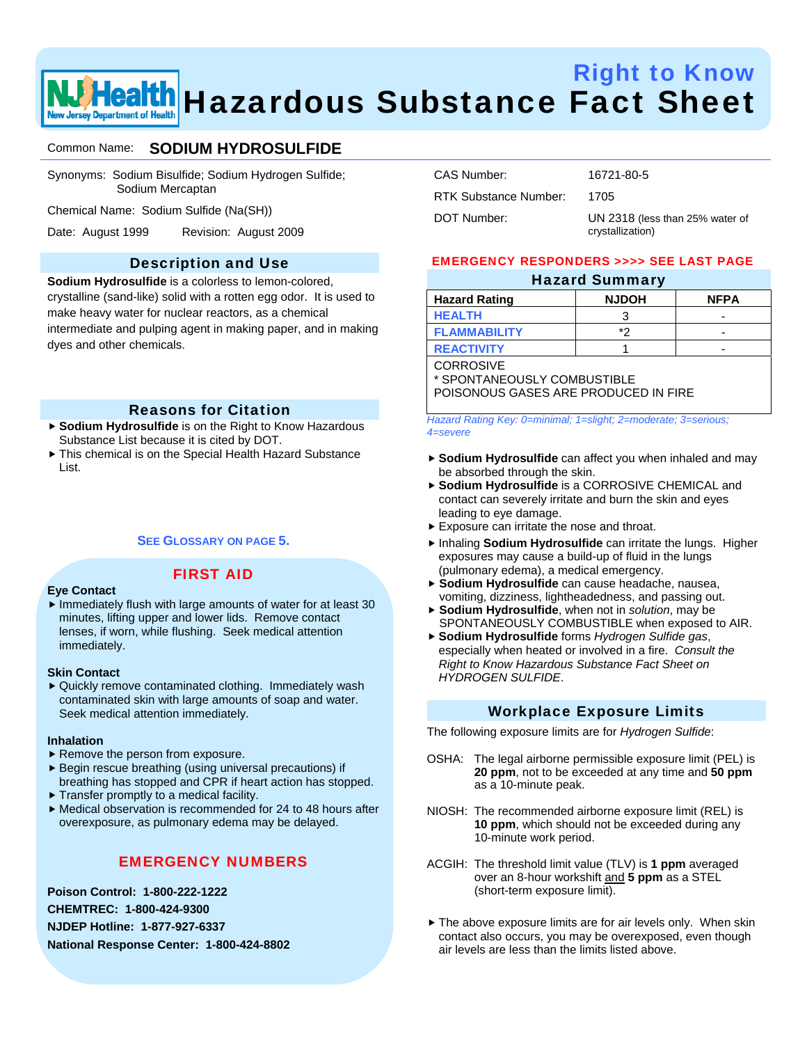# Right to Know Wealth Hazardous Substance Fact Sheet

### Common Name: **SODIUM HYDROSULFIDE**

Synonyms: Sodium Bisulfide; Sodium Hydrogen Sulfide; Sodium Mercaptan

Chemical Name: Sodium Sulfide (Na(SH))

Date: August 1999 Revision: August 2009

#### Description and Use

**Sodium Hydrosulfide** is a colorless to lemon-colored, crystalline (sand-like) solid with a rotten egg odor. It is used to make heavy water for nuclear reactors, as a chemical intermediate and pulping agent in making paper, and in making dyes and other chemicals.

#### Reasons for Citation

- ▶ Sodium Hydrosulfide is on the Right to Know Hazardous Substance List because it is cited by DOT.
- $\triangleright$  This chemical is on the Special Health Hazard Substance List.

#### **SEE GLOSSARY ON PAGE 5.**

FIRST AID

#### **Eye Contact**

 $\blacktriangleright$  Immediately flush with large amounts of water for at least 30 minutes, lifting upper and lower lids. Remove contact lenses, if worn, while flushing. Seek medical attention immediately.

#### **Skin Contact**

 $\blacktriangleright$  Quickly remove contaminated clothing. Immediately wash contaminated skin with large amounts of soap and water. Seek medical attention immediately.

#### **Inhalation**

- $\blacktriangleright$  Remove the person from exposure.
- $\blacktriangleright$  Begin rescue breathing (using universal precautions) if breathing has stopped and CPR if heart action has stopped.
- $\blacktriangleright$  Transfer promptly to a medical facility.
- $\blacktriangleright$  Medical observation is recommended for 24 to 48 hours after overexposure, as pulmonary edema may be delayed.

#### EMERGENCY NUMBERS

**Poison Control: 1-800-222-1222 CHEMTREC: 1-800-424-9300 NJDEP Hotline: 1-877-927-6337 National Response Center: 1-800-424-8802** 

| CAS Number:           | 16721-80-5                                          |
|-----------------------|-----------------------------------------------------|
| RTK Substance Number: | 1705                                                |
| DOT Number:           | UN 2318 (less than 25% water of<br>crystallization) |

#### EMERGENCY RESPONDERS >>>> SEE LAST PAGE Hazard Summary

| <b>Hazard Rating</b> | <b>NJDOH</b> | <b>NFPA</b> |
|----------------------|--------------|-------------|
| <b>HEALTH</b>        |              | -           |
| <b>FLAMMABILITY</b>  | ∗^           | -           |
| <b>REACTIVITY</b>    |              |             |
| <b>CORROSIVE</b>     |              |             |

\* SPONTANEOUSLY COMBUSTIBLE POISONOUS GASES ARE PRODUCED IN FIRE

*Hazard Rating Key: 0=minimal; 1=slight; 2=moderate; 3=serious; 4=severe*

- **Sodium Hydrosulfide** can affect you when inhaled and may be absorbed through the skin.
- **Sodium Hydrosulfide** is a CORROSIVE CHEMICAL and contact can severely irritate and burn the skin and eyes leading to eye damage.
- $\blacktriangleright$  Exposure can irritate the nose and throat.
- **F** Inhaling Sodium Hydrosulfide can irritate the lungs. Higher exposures may cause a build-up of fluid in the lungs (pulmonary edema), a medical emergency.
- ▶ Sodium Hydrosulfide can cause headache, nausea, vomiting, dizziness, lightheadedness, and passing out.
- ▶ Sodium Hydrosulfide, when not in *solution*, may be SPONTANEOUSLY COMBUSTIBLE when exposed to AIR.
- f **Sodium Hydrosulfide** forms *Hydrogen Sulfide gas*, especially when heated or involved in a fire. *Consult the Right to Know Hazardous Substance Fact Sheet on HYDROGEN SULFIDE*.

#### Workplace Exposure Limits

The following exposure limits are for *Hydrogen Sulfide*:

- OSHA: The legal airborne permissible exposure limit (PEL) is **20 ppm**, not to be exceeded at any time and **50 ppm** as a 10-minute peak.
- NIOSH: The recommended airborne exposure limit (REL) is **10 ppm**, which should not be exceeded during any 10-minute work period.
- ACGIH: The threshold limit value (TLV) is **1 ppm** averaged over an 8-hour workshift and **5 ppm** as a STEL (short-term exposure limit).
- $\triangleright$  The above exposure limits are for air levels only. When skin contact also occurs, you may be overexposed, even though air levels are less than the limits listed above.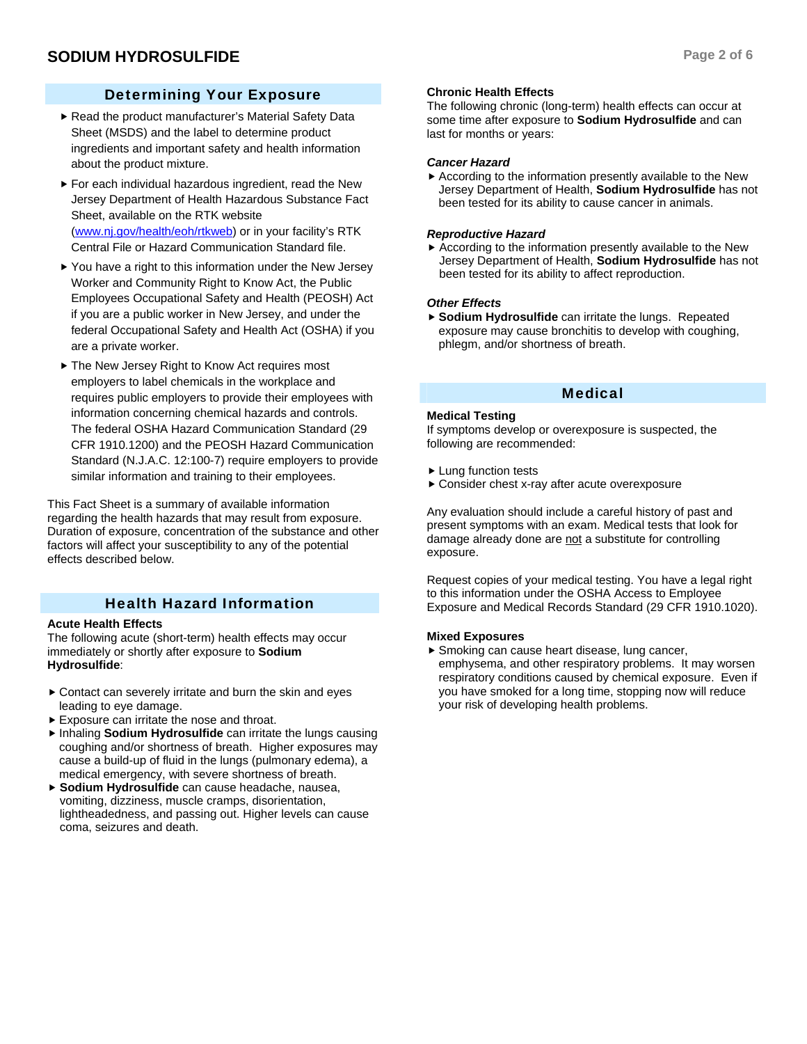#### Determining Your Exposure

- Read the product manufacturer's Material Safety Data Sheet (MSDS) and the label to determine product ingredients and important safety and health information about the product mixture.
- $\blacktriangleright$  For each individual hazardous ingredient, read the New Jersey Department of Health Hazardous Substance Fact Sheet, available on the RTK website (www.nj.gov/health/eoh/rtkweb) or in your facility's RTK Central File or Hazard Communication Standard file.
- $\blacktriangleright$  You have a right to this information under the New Jersey Worker and Community Right to Know Act, the Public Employees Occupational Safety and Health (PEOSH) Act if you are a public worker in New Jersey, and under the federal Occupational Safety and Health Act (OSHA) if you are a private worker.
- ▶ The New Jersey Right to Know Act requires most employers to label chemicals in the workplace and requires public employers to provide their employees with information concerning chemical hazards and controls. The federal OSHA Hazard Communication Standard (29 CFR 1910.1200) and the PEOSH Hazard Communication Standard (N.J.A.C. 12:100-7) require employers to provide similar information and training to their employees.

This Fact Sheet is a summary of available information regarding the health hazards that may result from exposure. Duration of exposure, concentration of the substance and other factors will affect your susceptibility to any of the potential effects described below.

### Health Hazard Information

#### **Acute Health Effects**

The following acute (short-term) health effects may occur immediately or shortly after exposure to **Sodium Hydrosulfide**:

- $\triangleright$  Contact can severely irritate and burn the skin and eyes leading to eye damage.
- $\blacktriangleright$  Exposure can irritate the nose and throat.
- **h** Inhaling Sodium Hydrosulfide can irritate the lungs causing coughing and/or shortness of breath. Higher exposures may cause a build-up of fluid in the lungs (pulmonary edema), a medical emergency, with severe shortness of breath.
- **Sodium Hydrosulfide** can cause headache, nausea, vomiting, dizziness, muscle cramps, disorientation, lightheadedness, and passing out. Higher levels can cause coma, seizures and death.

#### **Chronic Health Effects**

The following chronic (long-term) health effects can occur at some time after exposure to **Sodium Hydrosulfide** and can last for months or years:

#### *Cancer Hazard*

 $\blacktriangleright$  According to the information presently available to the New Jersey Department of Health, **Sodium Hydrosulfide** has not been tested for its ability to cause cancer in animals.

#### *Reproductive Hazard*

 $\blacktriangleright$  According to the information presently available to the New Jersey Department of Health, **Sodium Hydrosulfide** has not been tested for its ability to affect reproduction.

#### *Other Effects*

**Sodium Hydrosulfide** can irritate the lungs. Repeated exposure may cause bronchitis to develop with coughing, phlegm, and/or shortness of breath.

#### Medical

#### **Medical Testing**

If symptoms develop or overexposure is suspected, the following are recommended:

 $\blacktriangleright$  Lung function tests

 $\blacktriangleright$  Consider chest x-ray after acute overexposure

Any evaluation should include a careful history of past and present symptoms with an exam. Medical tests that look for damage already done are not a substitute for controlling exposure.

Request copies of your medical testing. You have a legal right to this information under the OSHA Access to Employee Exposure and Medical Records Standard (29 CFR 1910.1020).

#### **Mixed Exposures**

 $\blacktriangleright$  Smoking can cause heart disease, lung cancer, emphysema, and other respiratory problems. It may worsen respiratory conditions caused by chemical exposure. Even if you have smoked for a long time, stopping now will reduce your risk of developing health problems.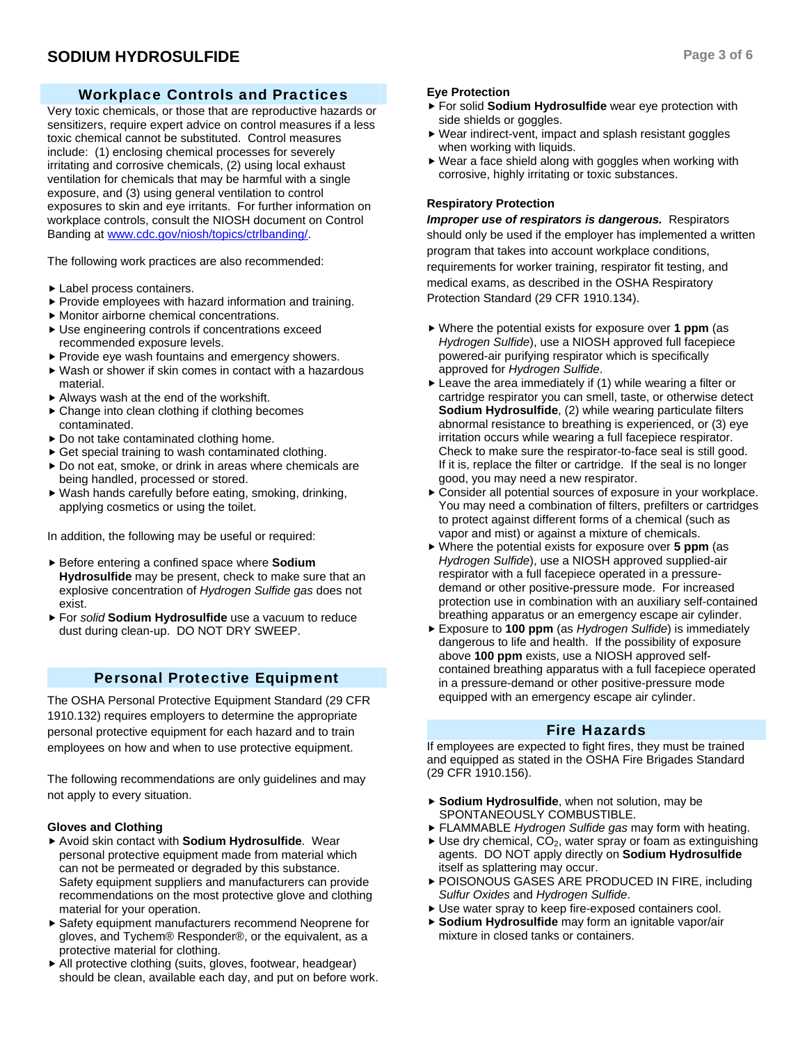### Workplace Controls and Practices

Very toxic chemicals, or those that are reproductive hazards or sensitizers, require expert advice on control measures if a less toxic chemical cannot be substituted. Control measures include: (1) enclosing chemical processes for severely irritating and corrosive chemicals, (2) using local exhaust ventilation for chemicals that may be harmful with a single exposure, and (3) using general ventilation to control exposures to skin and eye irritants. For further information on workplace controls, consult the NIOSH document on Control Banding at www.cdc.gov/niosh/topics/ctrlbanding/.

The following work practices are also recommended:

- $\blacktriangleright$  Label process containers.
- $\blacktriangleright$  Provide employees with hazard information and training.
- $\blacktriangleright$  Monitor airborne chemical concentrations.
- $\blacktriangleright$  Use engineering controls if concentrations exceed recommended exposure levels.
- $\blacktriangleright$  Provide eye wash fountains and emergency showers.
- $\blacktriangleright$  Wash or shower if skin comes in contact with a hazardous material.
- $\blacktriangleright$  Always wash at the end of the workshift.
- $\triangleright$  Change into clean clothing if clothing becomes contaminated.
- $\triangleright$  Do not take contaminated clothing home.
- $\triangleright$  Get special training to wash contaminated clothing.
- $\triangleright$  Do not eat, smoke, or drink in areas where chemicals are being handled, processed or stored.
- $\blacktriangleright$  Wash hands carefully before eating, smoking, drinking, applying cosmetics or using the toilet.

In addition, the following may be useful or required:

- ▶ Before entering a confined space where **Sodium Hydrosulfide** may be present, check to make sure that an explosive concentration of *Hydrogen Sulfide gas* does not exist.
- **For solid Sodium Hydrosulfide** use a vacuum to reduce dust during clean-up. DO NOT DRY SWEEP.

### Personal Protective Equipment

The OSHA Personal Protective Equipment Standard (29 CFR 1910.132) requires employers to determine the appropriate personal protective equipment for each hazard and to train employees on how and when to use protective equipment.

The following recommendations are only guidelines and may not apply to every situation.

#### **Gloves and Clothing**

- ▶ Avoid skin contact with **Sodium Hydrosulfide**. Wear personal protective equipment made from material which can not be permeated or degraded by this substance. Safety equipment suppliers and manufacturers can provide recommendations on the most protective glove and clothing material for your operation.
- ▶ Safety equipment manufacturers recommend Neoprene for gloves, and Tychem® Responder®, or the equivalent, as a protective material for clothing.
- $\blacktriangleright$  All protective clothing (suits, gloves, footwear, headgear) should be clean, available each day, and put on before work.

#### **Eye Protection**

- **For solid Sodium Hydrosulfide** wear eye protection with side shields or goggles.
- $\blacktriangleright$  Wear indirect-vent, impact and splash resistant goggles when working with liquids.
- $\blacktriangleright$  Wear a face shield along with goggles when working with corrosive, highly irritating or toxic substances.

#### **Respiratory Protection**

*Improper use of respirators is dangerous.* Respirators should only be used if the employer has implemented a written program that takes into account workplace conditions, requirements for worker training, respirator fit testing, and medical exams, as described in the OSHA Respiratory Protection Standard (29 CFR 1910.134).

- ▶ Where the potential exists for exposure over **1 ppm** (as *Hydrogen Sulfide*), use a NIOSH approved full facepiece powered-air purifying respirator which is specifically approved for *Hydrogen Sulfide*.
- $\blacktriangleright$  Leave the area immediately if (1) while wearing a filter or cartridge respirator you can smell, taste, or otherwise detect **Sodium Hydrosulfide**, (2) while wearing particulate filters abnormal resistance to breathing is experienced, or (3) eye irritation occurs while wearing a full facepiece respirator. Check to make sure the respirator-to-face seal is still good. If it is, replace the filter or cartridge. If the seal is no longer good, you may need a new respirator.
- $\triangleright$  Consider all potential sources of exposure in your workplace. You may need a combination of filters, prefilters or cartridges to protect against different forms of a chemical (such as vapor and mist) or against a mixture of chemicals.
- ▶ Where the potential exists for exposure over **5 ppm** (as *Hydrogen Sulfide*), use a NIOSH approved supplied-air respirator with a full facepiece operated in a pressuredemand or other positive-pressure mode. For increased protection use in combination with an auxiliary self-contained breathing apparatus or an emergency escape air cylinder.
- ▶ Exposure to 100 ppm (as *Hydrogen Sulfide*) is immediately dangerous to life and health. If the possibility of exposure above **100 ppm** exists, use a NIOSH approved selfcontained breathing apparatus with a full facepiece operated in a pressure-demand or other positive-pressure mode equipped with an emergency escape air cylinder.

#### Fire Hazards

If employees are expected to fight fires, they must be trained and equipped as stated in the OSHA Fire Brigades Standard (29 CFR 1910.156).

- ▶ Sodium Hydrosulfide, when not solution, may be SPONTANEOUSLY COMBUSTIBLE.
- f FLAMMABLE *Hydrogen Sulfide gas* may form with heating.
- $\blacktriangleright$  Use dry chemical, CO<sub>2</sub>, water spray or foam as extinguishing agents. DO NOT apply directly on **Sodium Hydrosulfide** itself as splattering may occur.
- ▶ POISONOUS GASES ARE PRODUCED IN FIRE, including *Sulfur Oxides* and *Hydrogen Sulfide*.
- $\blacktriangleright$  Use water spray to keep fire-exposed containers cool.
- ▶ Sodium Hydrosulfide may form an ignitable vapor/air mixture in closed tanks or containers.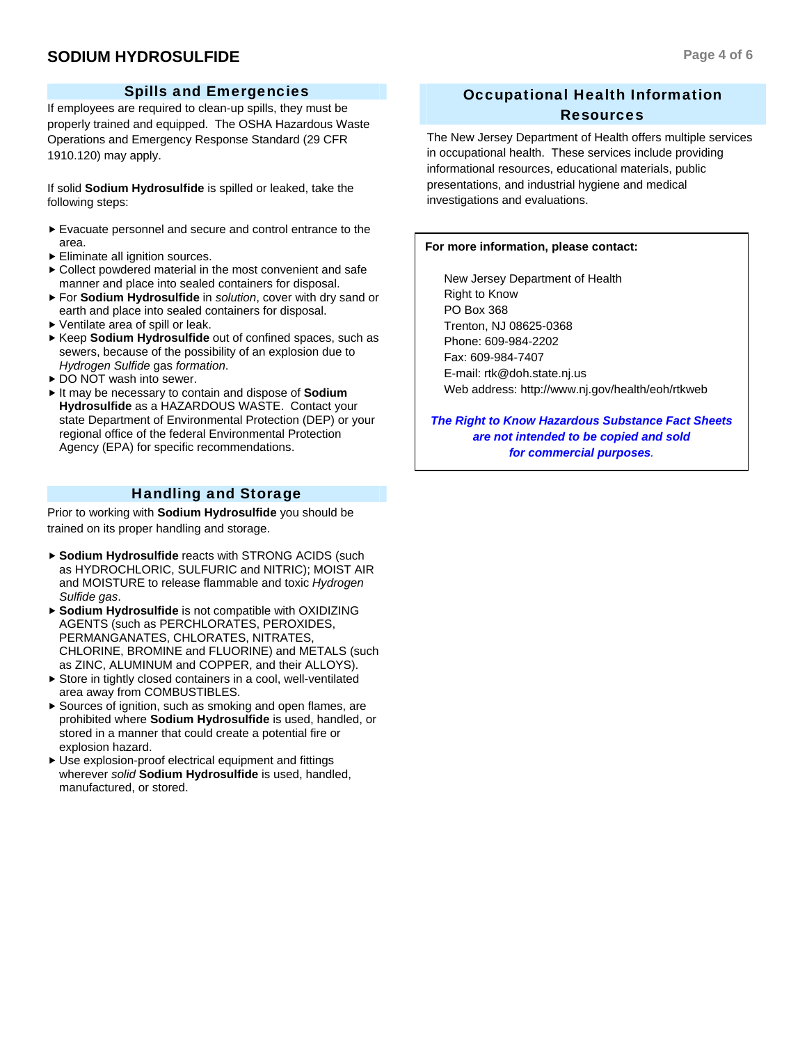# **SODIUM HYDROSULFIDE Page 4 of 6**

If employees are required to clean-up spills, they must be properly trained and equipped. The OSHA Hazardous Waste Operations and Emergency Response Standard (29 CFR 1910.120) may apply.

If solid **Sodium Hydrosulfide** is spilled or leaked, take the following steps:

- $\blacktriangleright$  Evacuate personnel and secure and control entrance to the area.
- $\blacktriangleright$  Eliminate all ignition sources.
- $\triangleright$  Collect powdered material in the most convenient and safe manner and place into sealed containers for disposal.
- ▶ For **Sodium Hydrosulfide** in *solution*, cover with dry sand or earth and place into sealed containers for disposal.
- $\blacktriangleright$  Ventilate area of spill or leak.
- ► Keep Sodium Hydrosulfide out of confined spaces, such as sewers, because of the possibility of an explosion due to *Hydrogen Sulfide* gas *formation*.
- ▶ DO NOT wash into sewer.
- $\blacktriangleright$  It may be necessary to contain and dispose of **Sodium Hydrosulfide** as a HAZARDOUS WASTE. Contact your state Department of Environmental Protection (DEP) or your regional office of the federal Environmental Protection Agency (EPA) for specific recommendations.

### Handling and Storage

Prior to working with **Sodium Hydrosulfide** you should be trained on its proper handling and storage.

- ▶ Sodium Hydrosulfide reacts with STRONG ACIDS (such as HYDROCHLORIC, SULFURIC and NITRIC); MOIST AIR and MOISTURE to release flammable and toxic *Hydrogen Sulfide gas*.
- **Sodium Hydrosulfide** is not compatible with OXIDIZING AGENTS (such as PERCHLORATES, PEROXIDES, PERMANGANATES, CHLORATES, NITRATES, CHLORINE, BROMINE and FLUORINE) and METALS (such as ZINC, ALUMINUM and COPPER, and their ALLOYS).
- $\blacktriangleright$  Store in tightly closed containers in a cool, well-ventilated area away from COMBUSTIBLES.
- $\triangleright$  Sources of ignition, such as smoking and open flames, are prohibited where **Sodium Hydrosulfide** is used, handled, or stored in a manner that could create a potential fire or explosion hazard.
- $\blacktriangleright$  Use explosion-proof electrical equipment and fittings wherever *solid* **Sodium Hydrosulfide** is used, handled, manufactured, or stored.

# Occupational Health Information Resources

The New Jersey Department of Health offers multiple services in occupational health. These services include providing informational resources, educational materials, public presentations, and industrial hygiene and medical investigations and evaluations.

#### **For more information, please contact:**

 New Jersey Department of Health Right to Know PO Box 368 Trenton, NJ 08625-0368 Phone: 609-984-2202 Fax: 609-984-7407 E-mail: rtk@doh.state.nj.us Web address: http://www.nj.gov/health/eoh/rtkweb

*The Right to Know Hazardous Substance Fact Sheets are not intended to be copied and sold for commercial purposes.*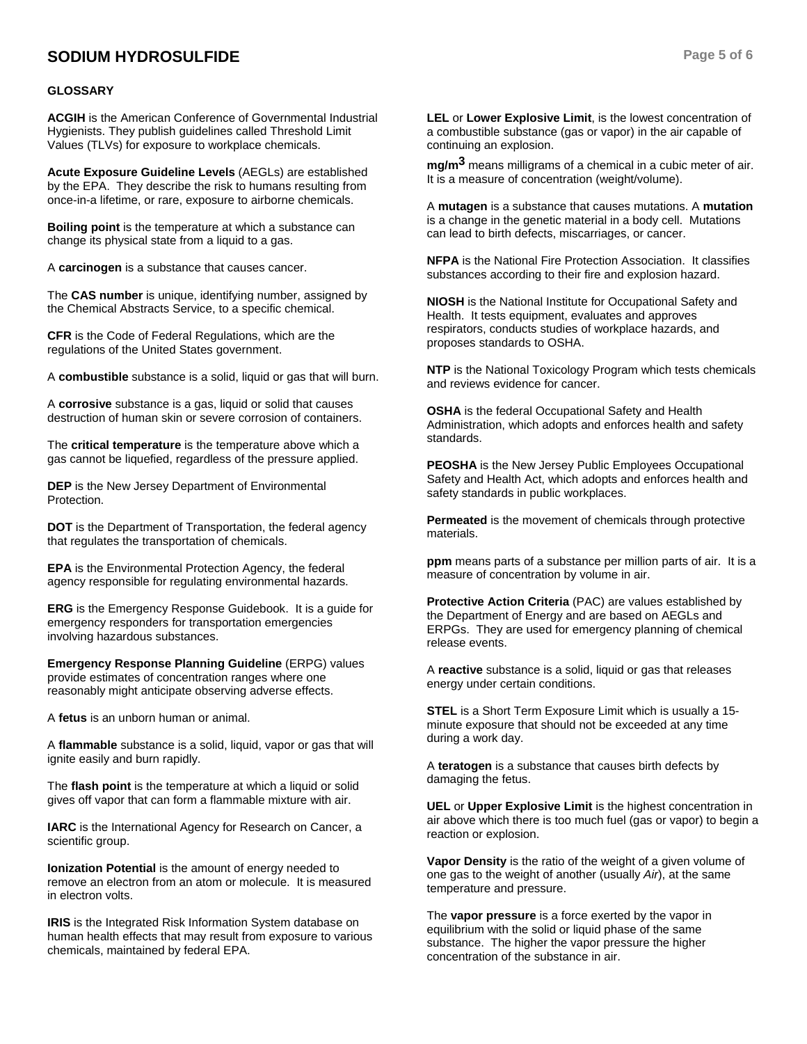# **SODIUM HYDROSULFIDE** Page 1 and the set of 6 and the set of 6 and the set of 6 and the set of 6 and the set of 6

#### **GLOSSARY**

**ACGIH** is the American Conference of Governmental Industrial Hygienists. They publish guidelines called Threshold Limit Values (TLVs) for exposure to workplace chemicals.

**Acute Exposure Guideline Levels** (AEGLs) are established by the EPA. They describe the risk to humans resulting from once-in-a lifetime, or rare, exposure to airborne chemicals.

**Boiling point** is the temperature at which a substance can change its physical state from a liquid to a gas.

A **carcinogen** is a substance that causes cancer.

The **CAS number** is unique, identifying number, assigned by the Chemical Abstracts Service, to a specific chemical.

**CFR** is the Code of Federal Regulations, which are the regulations of the United States government.

A **combustible** substance is a solid, liquid or gas that will burn.

A **corrosive** substance is a gas, liquid or solid that causes destruction of human skin or severe corrosion of containers.

The **critical temperature** is the temperature above which a gas cannot be liquefied, regardless of the pressure applied.

**DEP** is the New Jersey Department of Environmental Protection.

**DOT** is the Department of Transportation, the federal agency that regulates the transportation of chemicals.

**EPA** is the Environmental Protection Agency, the federal agency responsible for regulating environmental hazards.

**ERG** is the Emergency Response Guidebook. It is a guide for emergency responders for transportation emergencies involving hazardous substances.

**Emergency Response Planning Guideline** (ERPG) values provide estimates of concentration ranges where one reasonably might anticipate observing adverse effects.

A **fetus** is an unborn human or animal.

A **flammable** substance is a solid, liquid, vapor or gas that will ignite easily and burn rapidly.

The **flash point** is the temperature at which a liquid or solid gives off vapor that can form a flammable mixture with air.

**IARC** is the International Agency for Research on Cancer, a scientific group.

**Ionization Potential** is the amount of energy needed to remove an electron from an atom or molecule. It is measured in electron volts.

**IRIS** is the Integrated Risk Information System database on human health effects that may result from exposure to various chemicals, maintained by federal EPA.

**LEL** or **Lower Explosive Limit**, is the lowest concentration of a combustible substance (gas or vapor) in the air capable of continuing an explosion.

**mg/m3** means milligrams of a chemical in a cubic meter of air. It is a measure of concentration (weight/volume).

A **mutagen** is a substance that causes mutations. A **mutation** is a change in the genetic material in a body cell. Mutations can lead to birth defects, miscarriages, or cancer.

**NFPA** is the National Fire Protection Association. It classifies substances according to their fire and explosion hazard.

**NIOSH** is the National Institute for Occupational Safety and Health. It tests equipment, evaluates and approves respirators, conducts studies of workplace hazards, and proposes standards to OSHA.

**NTP** is the National Toxicology Program which tests chemicals and reviews evidence for cancer.

**OSHA** is the federal Occupational Safety and Health Administration, which adopts and enforces health and safety standards.

**PEOSHA** is the New Jersey Public Employees Occupational Safety and Health Act, which adopts and enforces health and safety standards in public workplaces.

**Permeated** is the movement of chemicals through protective materials.

**ppm** means parts of a substance per million parts of air. It is a measure of concentration by volume in air.

**Protective Action Criteria** (PAC) are values established by the Department of Energy and are based on AEGLs and ERPGs. They are used for emergency planning of chemical release events.

A **reactive** substance is a solid, liquid or gas that releases energy under certain conditions.

**STEL** is a Short Term Exposure Limit which is usually a 15 minute exposure that should not be exceeded at any time during a work day.

A **teratogen** is a substance that causes birth defects by damaging the fetus.

**UEL** or **Upper Explosive Limit** is the highest concentration in air above which there is too much fuel (gas or vapor) to begin a reaction or explosion.

**Vapor Density** is the ratio of the weight of a given volume of one gas to the weight of another (usually *Air*), at the same temperature and pressure.

The **vapor pressure** is a force exerted by the vapor in equilibrium with the solid or liquid phase of the same substance. The higher the vapor pressure the higher concentration of the substance in air.